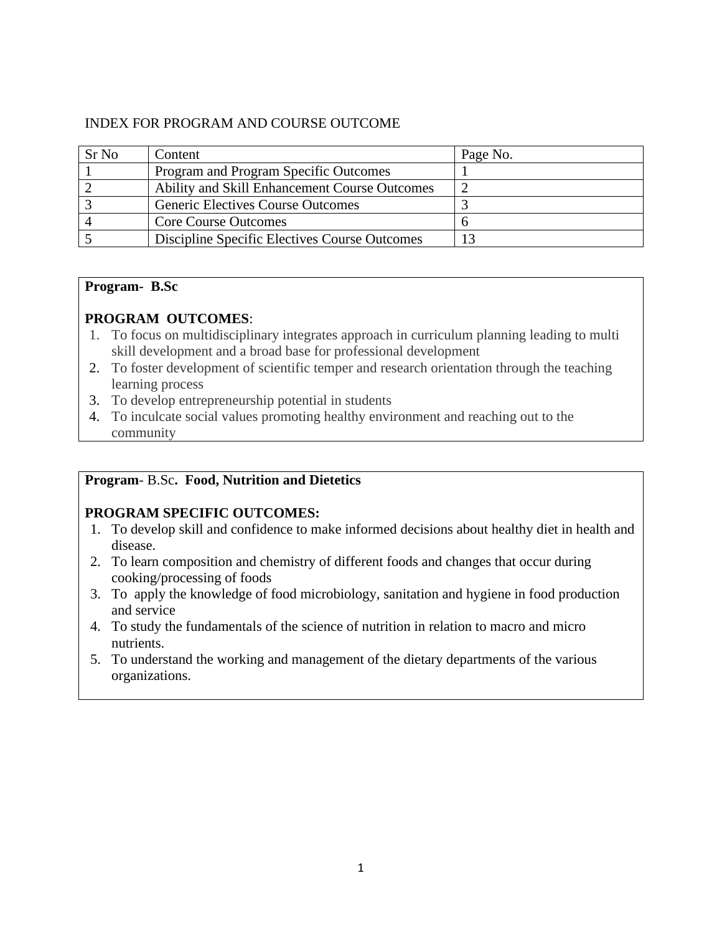# INDEX FOR PROGRAM AND COURSE OUTCOME

| Sr No | Content                                       | Page No. |
|-------|-----------------------------------------------|----------|
|       | Program and Program Specific Outcomes         |          |
|       | Ability and Skill Enhancement Course Outcomes |          |
|       | <b>Generic Electives Course Outcomes</b>      |          |
|       | <b>Core Course Outcomes</b>                   |          |
|       | Discipline Specific Electives Course Outcomes |          |

#### **Program- B.Sc**

# **PROGRAM OUTCOMES**:

- 1. To focus on multidisciplinary integrates approach in curriculum planning leading to multi skill development and a broad base for professional development
- 2. To foster development of scientific temper and research orientation through the teaching learning process
- 3. To develop entrepreneurship potential in students
- 4. To inculcate social values promoting healthy environment and reaching out to the community

# **Program**- B.Sc**. Food, Nutrition and Dietetics**

# **PROGRAM SPECIFIC OUTCOMES:**

- 1. To develop skill and confidence to make informed decisions about healthy diet in health and disease.
- 2. To learn composition and chemistry of different foods and changes that occur during cooking/processing of foods
- 3. To apply the knowledge of food microbiology, sanitation and hygiene in food production and service
- 4. To study the fundamentals of the science of nutrition in relation to macro and micro nutrients.
- 5. To understand the working and management of the dietary departments of the various organizations.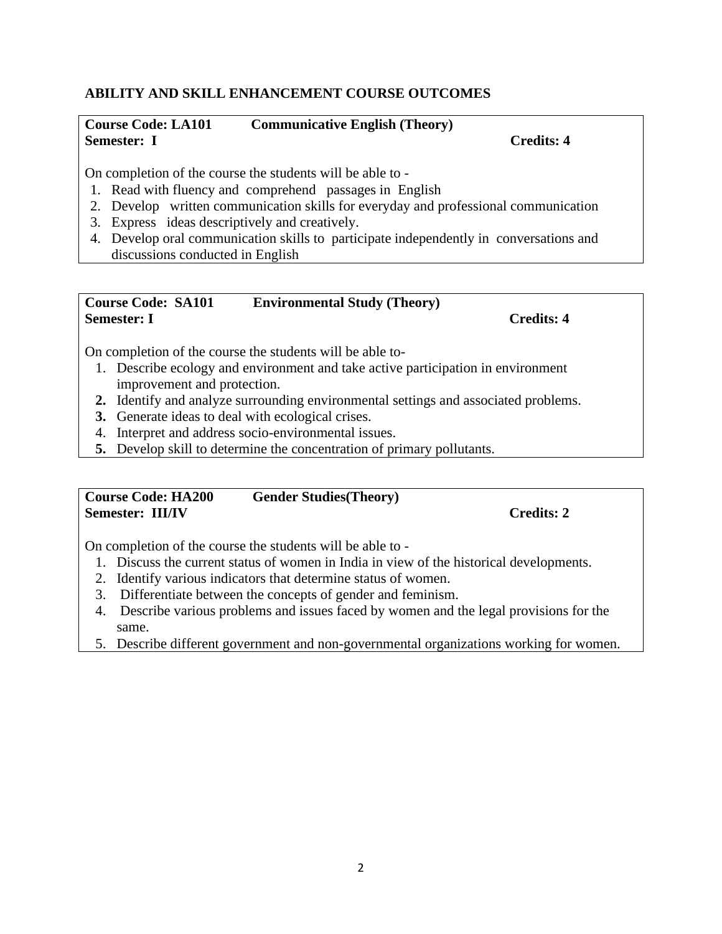## **ABILITY AND SKILL ENHANCEMENT COURSE OUTCOMES**

## **Course Code: LA101 Communicative English (Theory) Semester:** I Credits: 4

On completion of the course the students will be able to -

- 1. Read with fluency and comprehend passages in English
- 2. Develop written communication skills for everyday and professional communication
- 3. Express ideas descriptively and creatively.
- 4. Develop oral communication skills to participate independently in conversations and discussions conducted in English

#### **Course Code: SA101 Environmental Study (Theory) Semester: I Credits: 4**

On completion of the course the students will be able to-

- 1. Describe ecology and environment and take active participation in environment improvement and protection.
- **2.** Identify and analyze surrounding environmental settings and associated problems.
- **3.** Generate ideas to deal with ecological crises.
- 4. Interpret and address socio-environmental issues.
- **5.** Develop skill to determine the concentration of primary pollutants.

#### **Course Code: HA200 Gender Studies(Theory) Semester: III/IV** Credits: 2

On completion of the course the students will be able to -

- 1. Discuss the current status of women in India in view of the historical developments.
- 2. Identify various indicators that determine status of women.
- 3. Differentiate between the concepts of gender and feminism.
- 4. Describe various problems and issues faced by women and the legal provisions for the same.
- 5. Describe different government and non-governmental organizations working for women.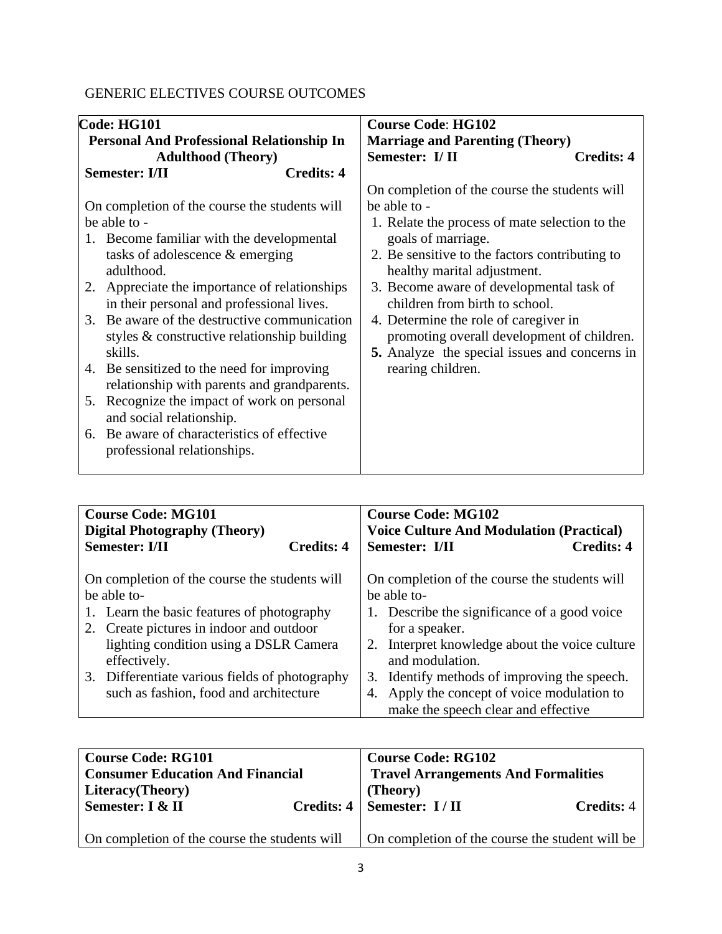# GENERIC ELECTIVES COURSE OUTCOMES

| Code: HG101                                                                                                                                                                                                                                                                                                                                                                                                                                                                                                                                                                                                               |                   | <b>Course Code: HG102</b>                                                                                                                                                                                                                                                                                                                                                                                                                                         |                   |
|---------------------------------------------------------------------------------------------------------------------------------------------------------------------------------------------------------------------------------------------------------------------------------------------------------------------------------------------------------------------------------------------------------------------------------------------------------------------------------------------------------------------------------------------------------------------------------------------------------------------------|-------------------|-------------------------------------------------------------------------------------------------------------------------------------------------------------------------------------------------------------------------------------------------------------------------------------------------------------------------------------------------------------------------------------------------------------------------------------------------------------------|-------------------|
| <b>Personal And Professional Relationship In</b>                                                                                                                                                                                                                                                                                                                                                                                                                                                                                                                                                                          |                   | <b>Marriage and Parenting (Theory)</b>                                                                                                                                                                                                                                                                                                                                                                                                                            |                   |
| <b>Adulthood</b> (Theory)                                                                                                                                                                                                                                                                                                                                                                                                                                                                                                                                                                                                 |                   | Semester: I/II                                                                                                                                                                                                                                                                                                                                                                                                                                                    | <b>Credits: 4</b> |
| <b>Semester: I/II</b>                                                                                                                                                                                                                                                                                                                                                                                                                                                                                                                                                                                                     | <b>Credits: 4</b> |                                                                                                                                                                                                                                                                                                                                                                                                                                                                   |                   |
| On completion of the course the students will<br>be able to -<br>1. Become familiar with the developmental<br>tasks of adolescence & emerging<br>adulthood.<br>Appreciate the importance of relationships<br>in their personal and professional lives.<br>3. Be aware of the destructive communication<br>styles & constructive relationship building<br>skills.<br>4. Be sensitized to the need for improving<br>relationship with parents and grandparents.<br>Recognize the impact of work on personal<br>5.<br>and social relationship.<br>6. Be aware of characteristics of effective<br>professional relationships. |                   | On completion of the course the students will<br>be able to -<br>1. Relate the process of mate selection to the<br>goals of marriage.<br>2. Be sensitive to the factors contributing to<br>healthy marital adjustment.<br>3. Become aware of developmental task of<br>children from birth to school.<br>4. Determine the role of caregiver in<br>promoting overall development of children.<br>5. Analyze the special issues and concerns in<br>rearing children. |                   |

| <b>Course Code: MG101</b><br><b>Digital Photography (Theory)</b>                                                                                                                                                                                                                                             |            | <b>Course Code: MG102</b><br><b>Voice Culture And Modulation (Practical)</b> |                                                                                                                                                                                     |                                                                                             |
|--------------------------------------------------------------------------------------------------------------------------------------------------------------------------------------------------------------------------------------------------------------------------------------------------------------|------------|------------------------------------------------------------------------------|-------------------------------------------------------------------------------------------------------------------------------------------------------------------------------------|---------------------------------------------------------------------------------------------|
| <b>Semester: I/II</b>                                                                                                                                                                                                                                                                                        | Credits: 4 | Semester: I/II                                                               |                                                                                                                                                                                     | <b>Credits: 4</b>                                                                           |
| On completion of the course the students will<br>be able to-<br>1. Learn the basic features of photography<br>2. Create pictures in indoor and outdoor<br>lighting condition using a DSLR Camera<br>effectively.<br>3. Differentiate various fields of photography<br>such as fashion, food and architecture |            | be able to-<br>for a speaker.<br>2.<br>and modulation.                       | On completion of the course the students will<br>1. Describe the significance of a good voice<br>4. Apply the concept of voice modulation to<br>make the speech clear and effective | Interpret knowledge about the voice culture<br>3. Identify methods of improving the speech. |

| <b>Course Code: RG101</b><br><b>Consumer Education And Financial</b><br>Literacy(Theory) | <b>Course Code: RG102</b><br><b>Travel Arrangements And Formalities</b><br>(Theory) |  |
|------------------------------------------------------------------------------------------|-------------------------------------------------------------------------------------|--|
| Semester: I & II                                                                         | Credits: $4 \mid$ Semester: I/II<br>Credits: 4                                      |  |
| On completion of the course the students will                                            | On completion of the course the student will be                                     |  |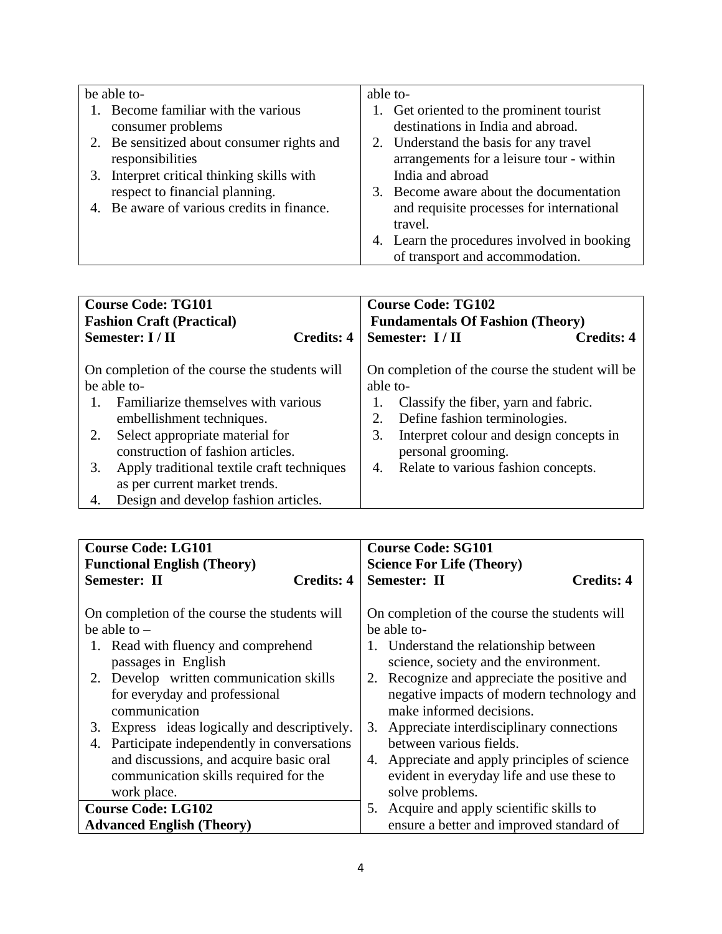| be able to-                                | able to- |                                             |
|--------------------------------------------|----------|---------------------------------------------|
| 1. Become familiar with the various        |          | 1. Get oriented to the prominent tourist    |
| consumer problems                          |          | destinations in India and abroad.           |
| 2. Be sensitized about consumer rights and |          | 2. Understand the basis for any travel      |
| responsibilities                           |          | arrangements for a leisure tour - within    |
| 3. Interpret critical thinking skills with |          | India and abroad                            |
| respect to financial planning.             |          | 3. Become aware about the documentation     |
| 4. Be aware of various credits in finance. |          | and requisite processes for international   |
|                                            |          | travel.                                     |
|                                            |          | 4. Learn the procedures involved in booking |
|                                            |          | of transport and accommodation.             |

| <b>Course Code: TG101</b><br><b>Fashion Craft (Practical)</b> |                                            | <b>Course Code: TG102</b><br><b>Fundamentals Of Fashion (Theory)</b> |                                                 |                   |
|---------------------------------------------------------------|--------------------------------------------|----------------------------------------------------------------------|-------------------------------------------------|-------------------|
|                                                               | Semester: I / II<br><b>Credits: 4</b>      |                                                                      | Semester: I/II                                  | <b>Credits: 4</b> |
| On completion of the course the students will<br>be able to-  |                                            | able to-                                                             | On completion of the course the student will be |                   |
|                                                               | Familiarize themselves with various        | 1.                                                                   | Classify the fiber, yarn and fabric.            |                   |
|                                                               | embellishment techniques.                  | 2.                                                                   | Define fashion terminologies.                   |                   |
| 2.                                                            | Select appropriate material for            | 3.                                                                   | Interpret colour and design concepts in         |                   |
|                                                               | construction of fashion articles.          |                                                                      | personal grooming.                              |                   |
| 3.                                                            | Apply traditional textile craft techniques | 4.                                                                   | Relate to various fashion concepts.             |                   |
|                                                               | as per current market trends.              |                                                                      |                                                 |                   |
| 4.                                                            | Design and develop fashion articles.       |                                                                      |                                                 |                   |

| <b>Course Code: LG101</b>                                                                                                                                                                                                                                                      |                   | <b>Course Code: SG101</b>                                                                                                                                                                                                                                                                                                  |  |  |
|--------------------------------------------------------------------------------------------------------------------------------------------------------------------------------------------------------------------------------------------------------------------------------|-------------------|----------------------------------------------------------------------------------------------------------------------------------------------------------------------------------------------------------------------------------------------------------------------------------------------------------------------------|--|--|
| <b>Functional English (Theory)</b>                                                                                                                                                                                                                                             |                   | <b>Science For Life (Theory)</b>                                                                                                                                                                                                                                                                                           |  |  |
| <b>Semester: II</b>                                                                                                                                                                                                                                                            | <b>Credits: 4</b> | <b>Semester: II</b><br><b>Credits: 4</b>                                                                                                                                                                                                                                                                                   |  |  |
| On completion of the course the students will<br>be able to $-$<br>1. Read with fluency and comprehend<br>passages in English<br>2. Develop written communication skills<br>for everyday and professional<br>communication<br>Express ideas logically and descriptively.<br>3. |                   | On completion of the course the students will<br>be able to-<br>1. Understand the relationship between<br>science, society and the environment.<br>2. Recognize and appreciate the positive and<br>negative impacts of modern technology and<br>make informed decisions.<br>Appreciate interdisciplinary connections<br>3. |  |  |
| Participate independently in conversations<br>4.<br>and discussions, and acquire basic oral<br>communication skills required for the<br>work place.                                                                                                                            |                   | between various fields.<br>4. Appreciate and apply principles of science<br>evident in everyday life and use these to<br>solve problems.                                                                                                                                                                                   |  |  |
| <b>Course Code: LG102</b>                                                                                                                                                                                                                                                      |                   | Acquire and apply scientific skills to<br>5.                                                                                                                                                                                                                                                                               |  |  |
| <b>Advanced English (Theory)</b>                                                                                                                                                                                                                                               |                   | ensure a better and improved standard of                                                                                                                                                                                                                                                                                   |  |  |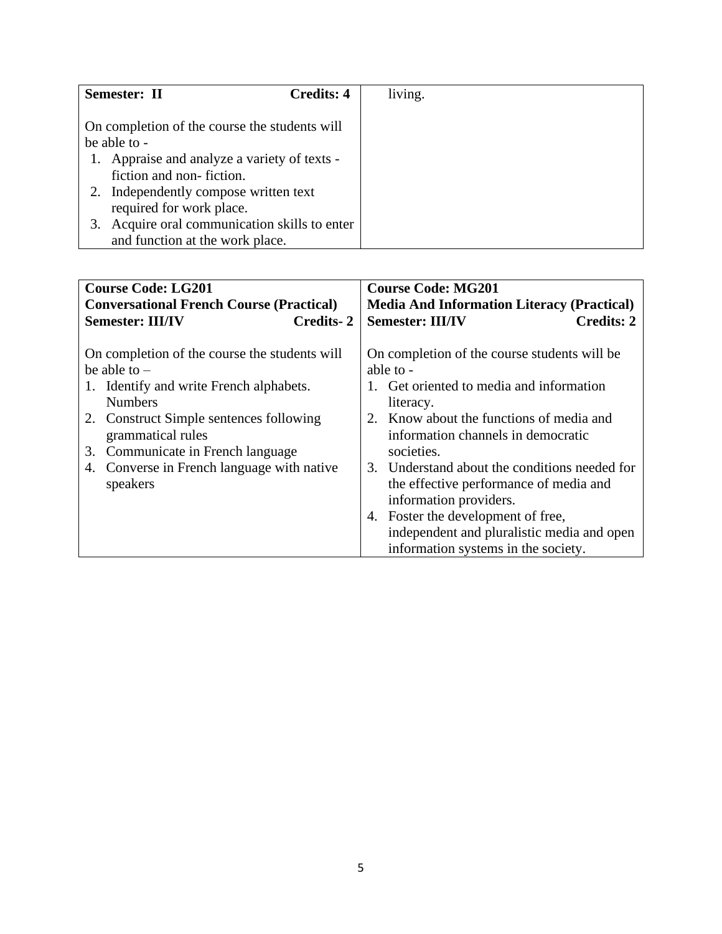|                                                                          | Semester: II<br><b>Credits: 4</b>                                             |  | living. |  |
|--------------------------------------------------------------------------|-------------------------------------------------------------------------------|--|---------|--|
| On completion of the course the students will<br>be able to -            |                                                                               |  |         |  |
| 1. Appraise and analyze a variety of texts -<br>fiction and non-fiction. |                                                                               |  |         |  |
|                                                                          | Independently compose written text<br>required for work place.                |  |         |  |
|                                                                          | Acquire oral communication skills to enter<br>and function at the work place. |  |         |  |

| <b>Course Code: LG201</b>                                                                                                                                                                                                                                                                         | <b>Course Code: MG201</b>                                                                                                                                                                                                                                                                                                                                                                                                                                          |  |  |
|---------------------------------------------------------------------------------------------------------------------------------------------------------------------------------------------------------------------------------------------------------------------------------------------------|--------------------------------------------------------------------------------------------------------------------------------------------------------------------------------------------------------------------------------------------------------------------------------------------------------------------------------------------------------------------------------------------------------------------------------------------------------------------|--|--|
| <b>Conversational French Course (Practical)</b>                                                                                                                                                                                                                                                   | <b>Media And Information Literacy (Practical)</b>                                                                                                                                                                                                                                                                                                                                                                                                                  |  |  |
| <b>Semester: III/IV</b><br>Credits-2                                                                                                                                                                                                                                                              | <b>Semester: III/IV</b><br><b>Credits: 2</b>                                                                                                                                                                                                                                                                                                                                                                                                                       |  |  |
| On completion of the course the students will<br>be able to $-$<br>1. Identify and write French alphabets.<br><b>Numbers</b><br>2. Construct Simple sentences following<br>grammatical rules<br>Communicate in French language<br>3.<br>Converse in French language with native<br>4.<br>speakers | On completion of the course students will be<br>able to -<br>1. Get oriented to media and information<br>literacy.<br>2. Know about the functions of media and<br>information channels in democratic<br>societies.<br>3. Understand about the conditions needed for<br>the effective performance of media and<br>information providers.<br>4. Foster the development of free,<br>independent and pluralistic media and open<br>information systems in the society. |  |  |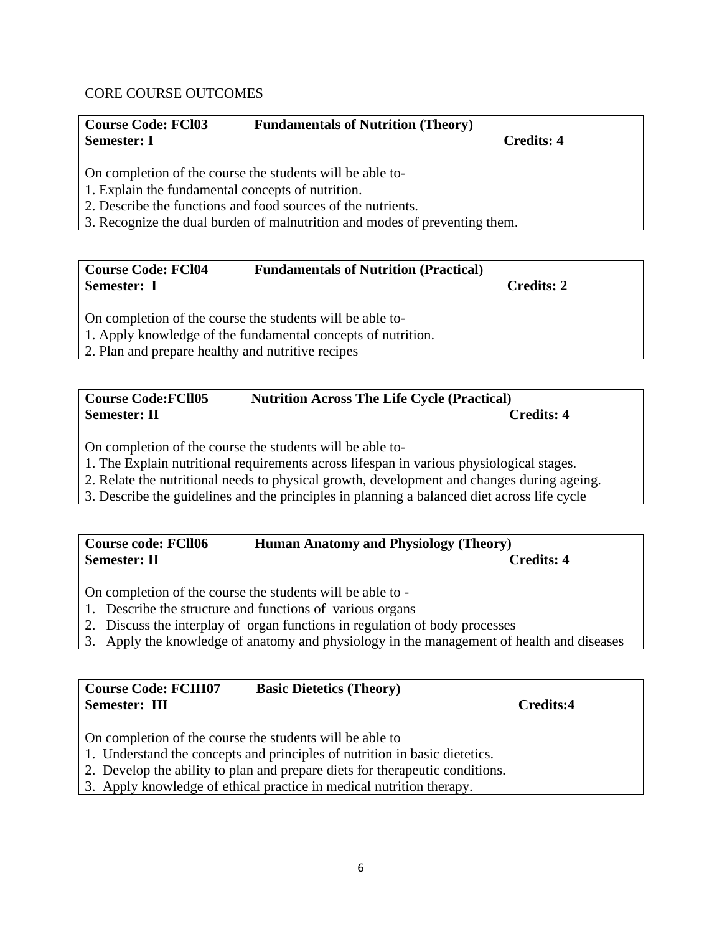### CORE COURSE OUTCOMES

| <b>Course Code: FCI03</b>                                                  | <b>Fundamentals of Nutrition (Theory)</b>                 |            |  |  |
|----------------------------------------------------------------------------|-----------------------------------------------------------|------------|--|--|
| <b>Semester: I</b>                                                         |                                                           | Credits: 4 |  |  |
| 1. Explain the fundamental concepts of nutrition.                          | On completion of the course the students will be able to- |            |  |  |
| 2. Describe the functions and food sources of the nutrients.               |                                                           |            |  |  |
| 3. Recognize the dual burden of malnutrition and modes of preventing them. |                                                           |            |  |  |
|                                                                            |                                                           |            |  |  |
|                                                                            |                                                           |            |  |  |

| Course Code: FCl04 | <b>Fundamentals of Nutrition (Practical)</b>                   |            |  |
|--------------------|----------------------------------------------------------------|------------|--|
| Semester: I        |                                                                | Credits: 2 |  |
|                    | $\Omega$ completion of the course the students will be able to |            |  |

On completion of the course the students will be able to-

1. Apply knowledge of the fundamental concepts of nutrition.

2. Plan and prepare healthy and nutritive recipes

## **Course Code:FCll05 Nutrition Across The Life Cycle (Practical) Semester: II** Credits: 4

On completion of the course the students will be able to-

1. The Explain nutritional requirements across lifespan in various physiological stages.

2. Relate the nutritional needs to physical growth, development and changes during ageing.

3. Describe the guidelines and the principles in planning a balanced diet across life cycle

# **Course code: FCll06 Human Anatomy and Physiology (Theory) Semester: II Credits: 4**

On completion of the course the students will be able to -

- 1. Describe the structure and functions of various organs
- 2. Discuss the interplay of organ functions in regulation of body processes
- 3. Apply the knowledge of anatomy and physiology in the management of health and diseases

# **Course Code: FCIII07 Basic Dietetics (Theory) Semester: III Credits:4**

On completion of the course the students will be able to

- 1. Understand the concepts and principles of nutrition in basic dietetics.
- 2. Develop the ability to plan and prepare diets for therapeutic conditions.
- 3. Apply knowledge of ethical practice in medical nutrition therapy.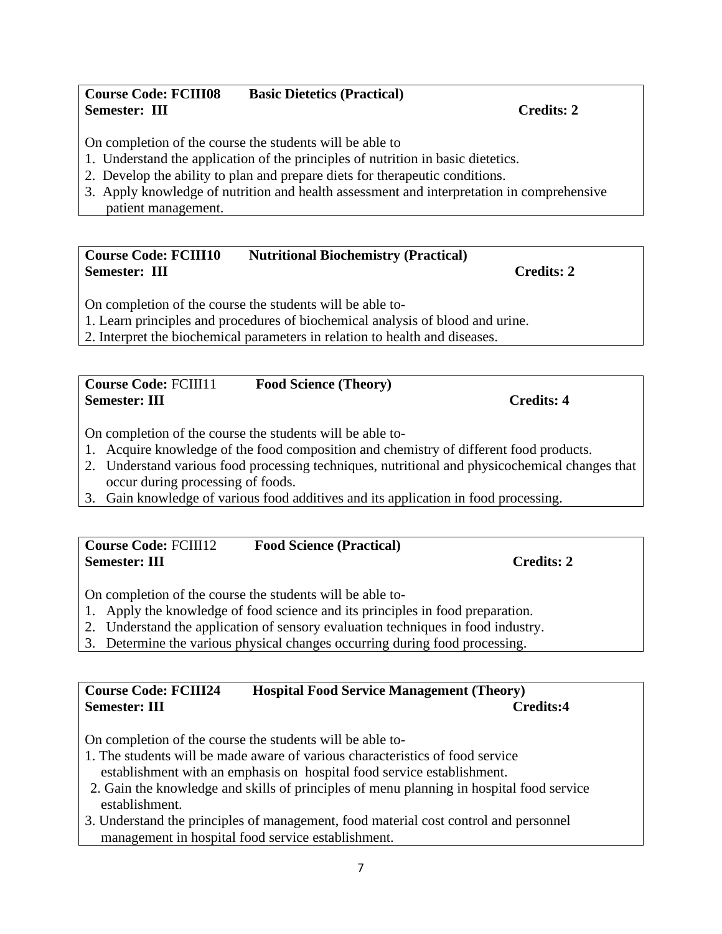#### **Course Code: FCIII08 Basic Dietetics (Practical) Semester: III** Credits: 2

On completion of the course the students will be able to

- 1. Understand the application of the principles of nutrition in basic dietetics.
- 2. Develop the ability to plan and prepare diets for therapeutic conditions.
- 3. Apply knowledge of nutrition and health assessment and interpretation in comprehensive patient management.

# **Course Code: FCIII10 Nutritional Biochemistry (Practical) Semester: III** Credits: 2

On completion of the course the students will be able to-

1. Learn principles and procedures of biochemical analysis of blood and urine.

2. Interpret the biochemical parameters in relation to health and diseases.

#### **Course Code:** FCIII11 **Food Science (Theory) Semester: III** Credits: 4

On completion of the course the students will be able to-

- 1. Acquire knowledge of the food composition and chemistry of different food products.
- 2. Understand various food processing techniques, nutritional and physicochemical changes that occur during processing of foods.
- 3. Gain knowledge of various food additives and its application in food processing.

# **Course Code:** FCIII12 **Food Science (Practical) Semester: III** Credits: 2

On completion of the course the students will be able to-

- 1. Apply the knowledge of food science and its principles in food preparation.
- 2. Understand the application of sensory evaluation techniques in food industry.
- 3. Determine the various physical changes occurring during food processing.

# **Course Code: FCIII24 Hospital Food Service Management (Theory) Semester: III Credits:4**

On completion of the course the students will be able to-

- 1. The students will be made aware of various characteristics of food service establishment with an emphasis on hospital food service establishment.
- 2. Gain the knowledge and skills of principles of menu planning in hospital food service establishment.
- 3. Understand the principles of management, food material cost control and personnel management in hospital food service establishment.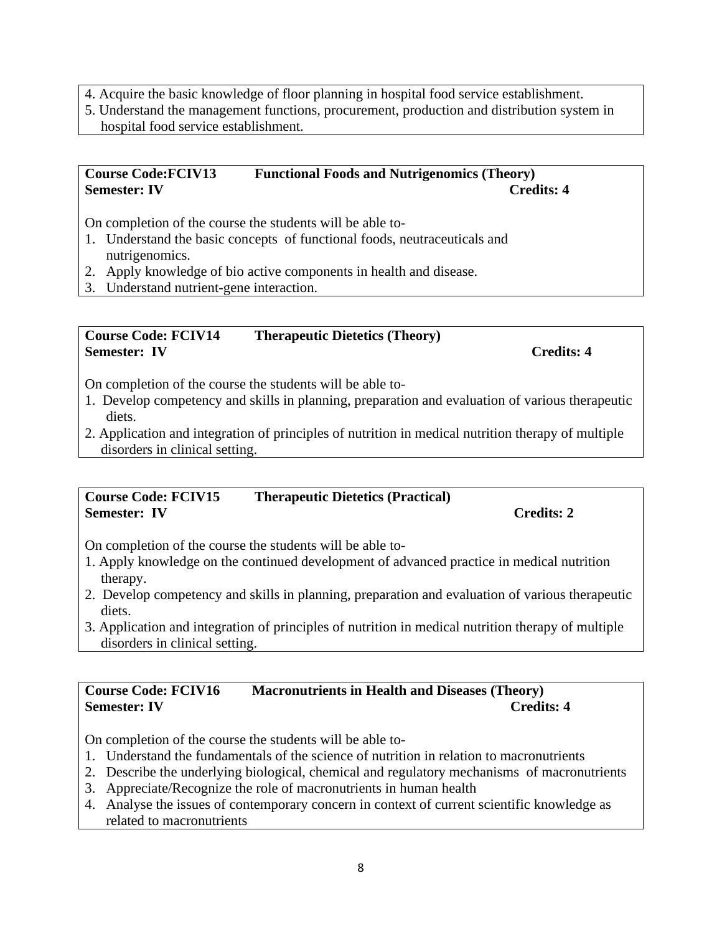- 4. Acquire the basic knowledge of floor planning in hospital food service establishment.
- 5. Understand the management functions, procurement, production and distribution system in hospital food service establishment.

#### **Course Code:FCIV13 Functional Foods and Nutrigenomics (Theory) Semester: IV Credits: 4**

On completion of the course the students will be able to-

- 1. Understand the basic concepts of functional foods, neutraceuticals and nutrigenomics.
- 2. Apply knowledge of bio active components in health and disease.
- 3. Understand nutrient-gene interaction.

#### **Course Code: FCIV14 Therapeutic Dietetics (Theory) Semester:** IV Credits: 4

On completion of the course the students will be able to-

- 1. Develop competency and skills in planning, preparation and evaluation of various therapeutic diets.
- 2. Application and integration of principles of nutrition in medical nutrition therapy of multiple disorders in clinical setting.

#### **Course Code: FCIV15 Therapeutic Dietetics (Practical) Semester:** IV Credits: 2

On completion of the course the students will be able to-

- 1. Apply knowledge on the continued development of advanced practice in medical nutrition therapy.
- 2. Develop competency and skills in planning, preparation and evaluation of various therapeutic diets.
- 3. Application and integration of principles of nutrition in medical nutrition therapy of multiple disorders in clinical setting.

# **Course Code: FCIV16 Macronutrients in Health and Diseases (Theory) Semester: IV** Credits: 4

On completion of the course the students will be able to-

- 1. Understand the fundamentals of the science of nutrition in relation to macronutrients
- 2. Describe the underlying biological, chemical and regulatory mechanisms of macronutrients
- 3. Appreciate/Recognize the role of macronutrients in human health
- 4. Analyse the issues of contemporary concern in context of current scientific knowledge as related to macronutrients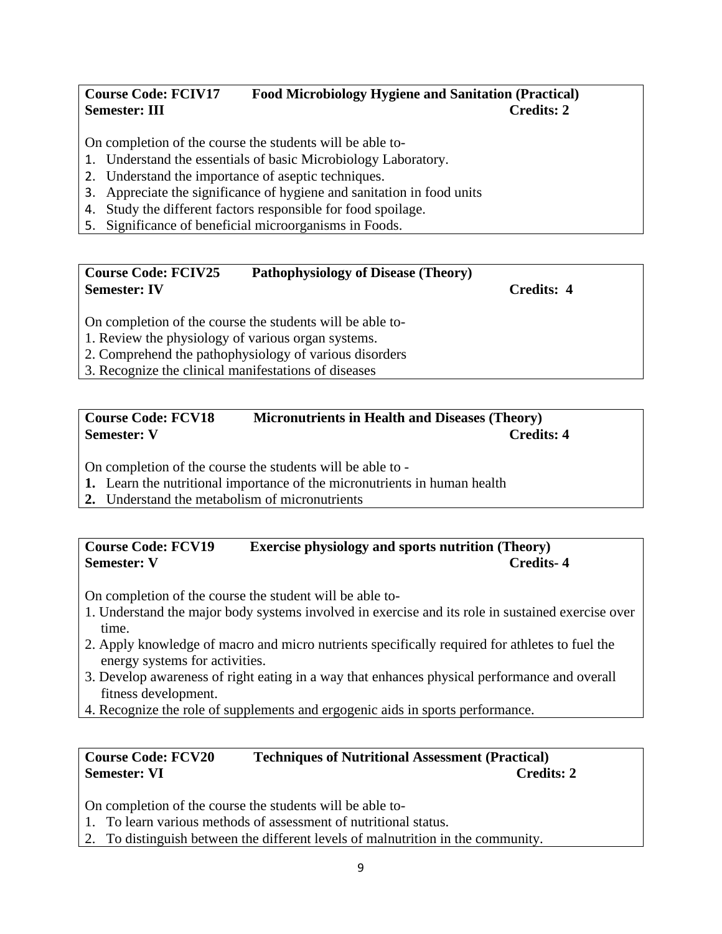# **Course Code: FCIV17 Food Microbiology Hygiene and Sanitation (Practical) Semester: III** Credits: 2

On completion of the course the students will be able to-

- 1. Understand the essentials of basic Microbiology Laboratory.
- 2. Understand the importance of aseptic techniques.
- 3. Appreciate the significance of hygiene and sanitation in food units
- 4. Study the different factors responsible for food spoilage.
- 5. Significance of beneficial microorganisms in Foods.

# **Course Code: FCIV25 Pathophysiology of Disease (Theory) Semester: IV Credits: 4**

On completion of the course the students will be able to-

- 1. Review the physiology of various organ systems.
- 2. Comprehend the pathophysiology of various disorders
- 3. Recognize the clinical manifestations of diseases

#### **Course Code: FCV18 Micronutrients in Health and Diseases (Theory) Semester: V** Credits: 4

On completion of the course the students will be able to -

- **1.** Learn the nutritional importance of the micronutrients in human health
- **2.** Understand the metabolism of micronutrients

# **Course Code: FCV19 Exercise physiology and sports nutrition (Theory) Semester: V** Credits-4

On completion of the course the student will be able to-

- 1. Understand the major body systems involved in exercise and its role in sustained exercise over time.
- 2. Apply knowledge of macro and micro nutrients specifically required for athletes to fuel the energy systems for activities.
- 3. Develop awareness of right eating in a way that enhances physical performance and overall fitness development.
- 4. Recognize the role of supplements and ergogenic aids in sports performance.

# **Course Code: FCV20 Techniques of Nutritional Assessment (Practical) Semester: VI** Credits: 2

On completion of the course the students will be able to-

- 1. To learn various methods of assessment of nutritional status.
- 2. To distinguish between the different levels of malnutrition in the community.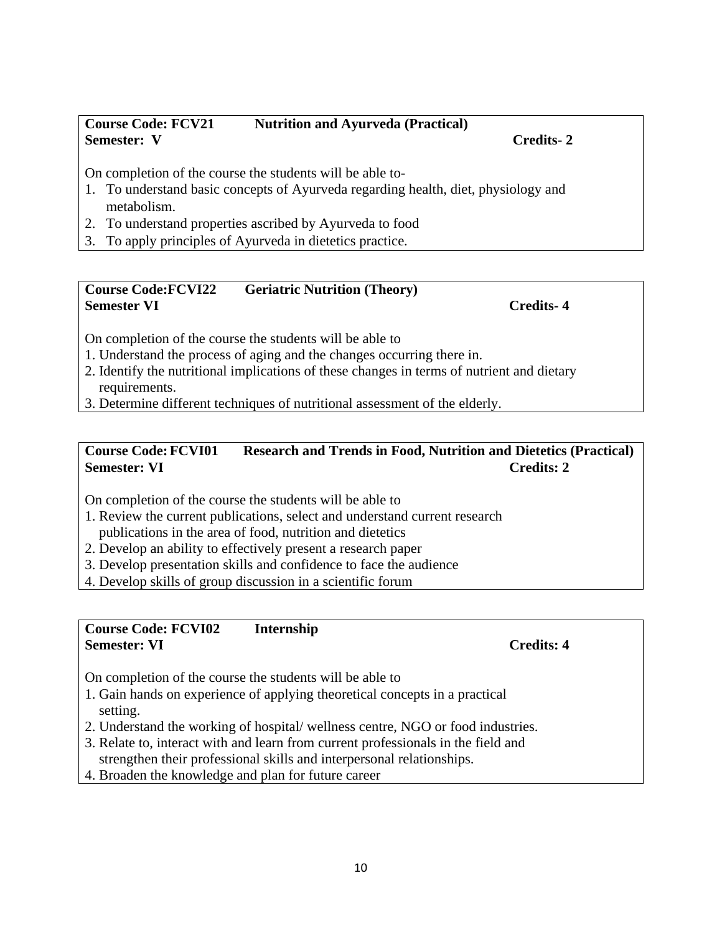On completion of the course the students will be able to

- 1. Review the current publications, select and understand current research publications in the area of food, nutrition and dietetics
- 2. Develop an ability to effectively present a research paper
- 3. Develop presentation skills and confidence to face the audience
- 4. Develop skills of group discussion in a scientific forum

# **Course Code: FCVI02 Internship Semester: VI** Credits: 4

On completion of the course the students will be able to

- 1. Gain hands on experience of applying theoretical concepts in a practical setting.
- 2. Understand the working of hospital/ wellness centre, NGO or food industries.
- 3. Relate to, interact with and learn from current professionals in the field and strengthen their professional skills and interpersonal relationships.
- 4. Broaden the knowledge and plan for future career

#### **Course Code: FCV21 Nutrition and Ayurveda (Practical) Semester: V Credits- 2**

On completion of the course the students will be able to-

- 1. To understand basic concepts of Ayurveda regarding health, diet, physiology and metabolism.
- 2. To understand properties ascribed by Ayurveda to food
- 3. To apply principles of Ayurveda in dietetics practice.

#### **Course Code:FCVI22 Geriatric Nutrition (Theory) Semester VI Credits- 4**

On completion of the course the students will be able to

- 1. Understand the process of aging and the changes occurring there in.
- 2. Identify the nutritional implications of these changes in terms of nutrient and dietary requirements.
- 3. Determine different techniques of nutritional assessment of the elderly.

# **Course Code:FCVI01 Research and Trends in Food, Nutrition and Dietetics (Practical) Semester: VI** Credits: 2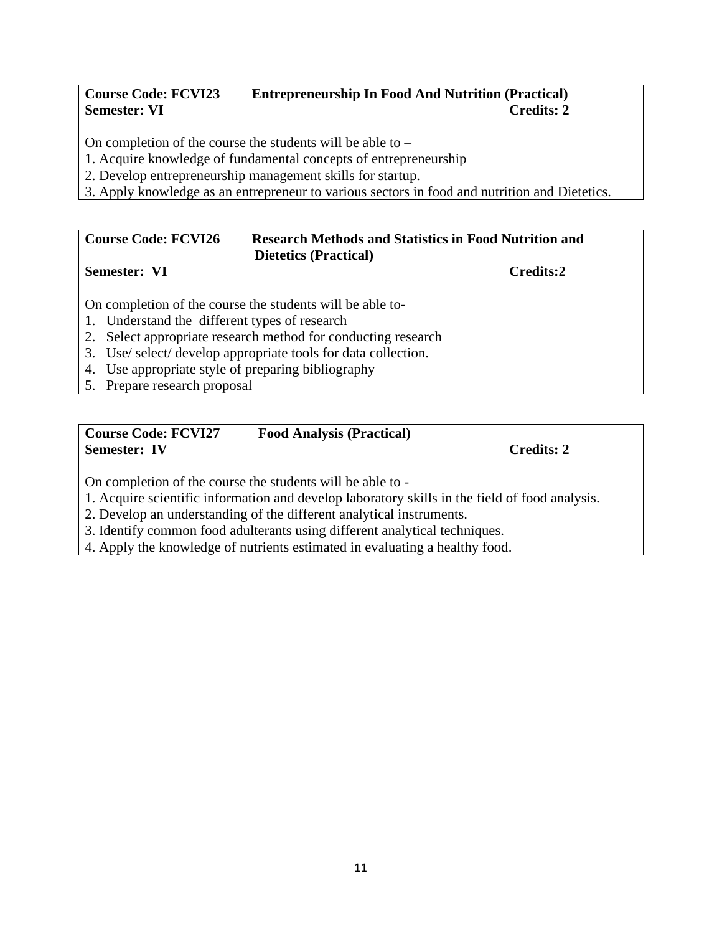# **Course Code: FCVI23 Entrepreneurship In Food And Nutrition (Practical) Semester: VI** Credits: 2

On completion of the course the students will be able to –

1. Acquire knowledge of fundamental concepts of entrepreneurship

- 2. Develop entrepreneurship management skills for startup.
- 3. Apply knowledge as an entrepreneur to various sectors in food and nutrition and Dietetics.

#### **Course Code: FCVI26 Research Methods and Statistics in Food Nutrition and Dietetics (Practical) Semester: VI** Credits:2

On completion of the course the students will be able to-

- 1. Understand the different types of research
- 2. Select appropriate research method for conducting research
- 3. Use/ select/ develop appropriate tools for data collection.
- 4. Use appropriate style of preparing bibliography
- 5. Prepare research proposal

# **Course Code: FCVI27 Food Analysis (Practical) Semester: IV Credits: 2**

On completion of the course the students will be able to -

1. Acquire scientific information and develop laboratory skills in the field of food analysis.

2. Develop an understanding of the different analytical instruments.

3. Identify common food adulterants using different analytical techniques.

4. Apply the knowledge of nutrients estimated in evaluating a healthy food.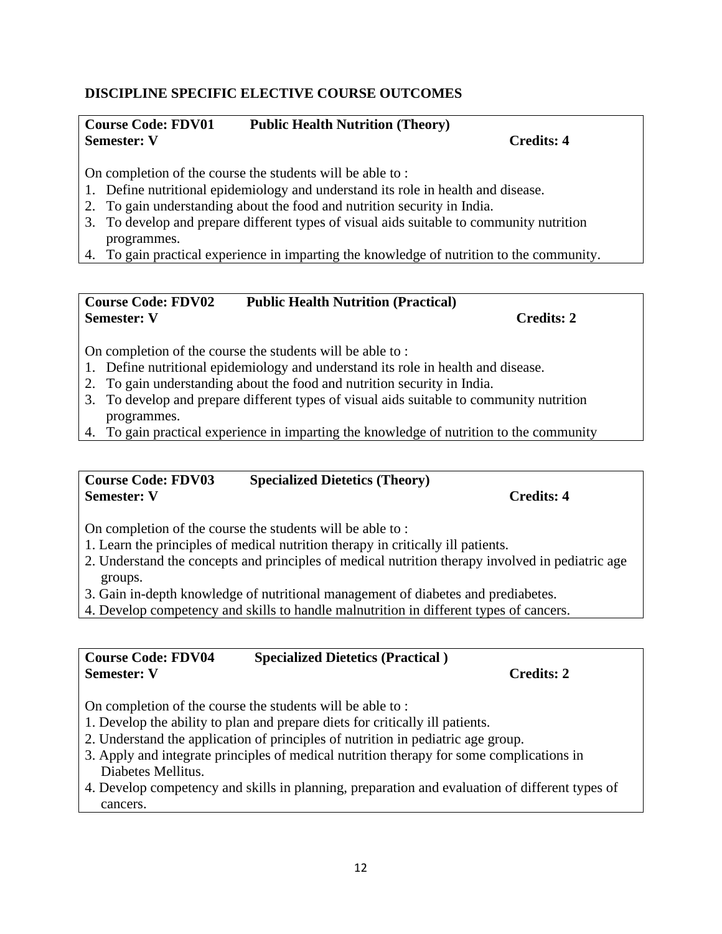# **DISCIPLINE SPECIFIC ELECTIVE COURSE OUTCOMES**

### **Course Code: FDV01 Public Health Nutrition (Theory) Semester: V** Credits: 4

On completion of the course the students will be able to :

- 1. Define nutritional epidemiology and understand its role in health and disease.
- 2. To gain understanding about the food and nutrition security in India.
- 3. To develop and prepare different types of visual aids suitable to community nutrition programmes.
- 4. To gain practical experience in imparting the knowledge of nutrition to the community.

#### **Course Code: FDV02 Public Health Nutrition (Practical) Semester: V** Credits: 2

On completion of the course the students will be able to :

- 1. Define nutritional epidemiology and understand its role in health and disease.
- 2. To gain understanding about the food and nutrition security in India.
- 3. To develop and prepare different types of visual aids suitable to community nutrition programmes.
- 4. To gain practical experience in imparting the knowledge of nutrition to the community

#### **Course Code: FDV03 Specialized Dietetics (Theory) Semester: V** Credits: 4

On completion of the course the students will be able to :

- 1. Learn the principles of medical nutrition therapy in critically ill patients.
- 2. Understand the concepts and principles of medical nutrition therapy involved in pediatric age groups.
- 3. Gain in-depth knowledge of nutritional management of diabetes and prediabetes.
- 4. Develop competency and skills to handle malnutrition in different types of cancers.

# **Course Code: FDV04 Specialized Dietetics (Practical ) Semester: V** Credits: 2

On completion of the course the students will be able to :

- 1. Develop the ability to plan and prepare diets for critically ill patients.
- 2. Understand the application of principles of nutrition in pediatric age group.
- 3. Apply and integrate principles of medical nutrition therapy for some complications in Diabetes Mellitus.
- 4. Develop competency and skills in planning, preparation and evaluation of different types of cancers.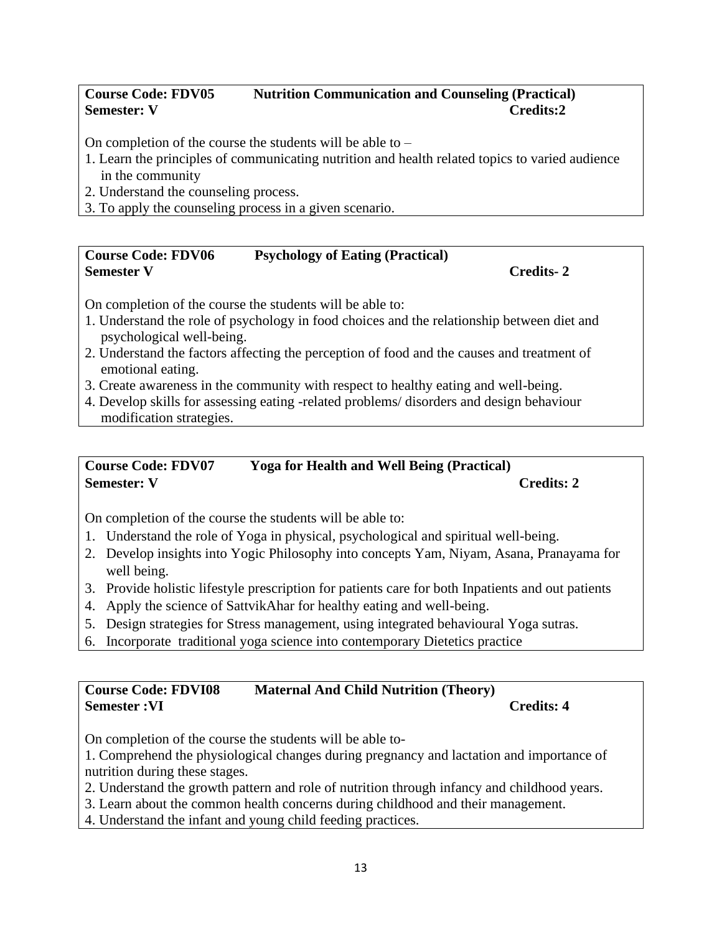# **Course Code: FDV05 Nutrition Communication and Counseling (Practical) Semester: V Credits:2**

On completion of the course the students will be able to –

- 1. Learn the principles of communicating nutrition and health related topics to varied audience in the community
- 2. Understand the counseling process.
- 3. To apply the counseling process in a given scenario.

# **Course Code: FDV06 Psychology of Eating (Practical) Semester V** Credits- 2

On completion of the course the students will be able to:

- 1. Understand the role of psychology in food choices and the relationship between diet and psychological well-being.
- 2. Understand the factors affecting the perception of food and the causes and treatment of emotional eating.
- 3. Create awareness in the community with respect to healthy eating and well-being.
- 4. Develop skills for assessing eating -related problems/ disorders and design behaviour modification strategies.

#### **Course Code: FDV07 Yoga for Health and Well Being (Practical) Semester: V** Credits: 2

On completion of the course the students will be able to:

- 1. Understand the role of Yoga in physical, psychological and spiritual well-being.
- 2. Develop insights into Yogic Philosophy into concepts Yam, Niyam, Asana, Pranayama for well being.
- 3. Provide holistic lifestyle prescription for patients care for both Inpatients and out patients
- 4. Apply the science of SattvikAhar for healthy eating and well-being.
- 5. Design strategies for Stress management, using integrated behavioural Yoga sutras.
- 6. Incorporate traditional yoga science into contemporary Dietetics practice

# **Course Code: FDVI08 Maternal And Child Nutrition (Theory) Semester :VI Credits: 4**

On completion of the course the students will be able to-

1. Comprehend the physiological changes during pregnancy and lactation and importance of nutrition during these stages.

- 2. Understand the growth pattern and role of nutrition through infancy and childhood years.
- 3. Learn about the common health concerns during childhood and their management.
- 4. Understand the infant and young child feeding practices.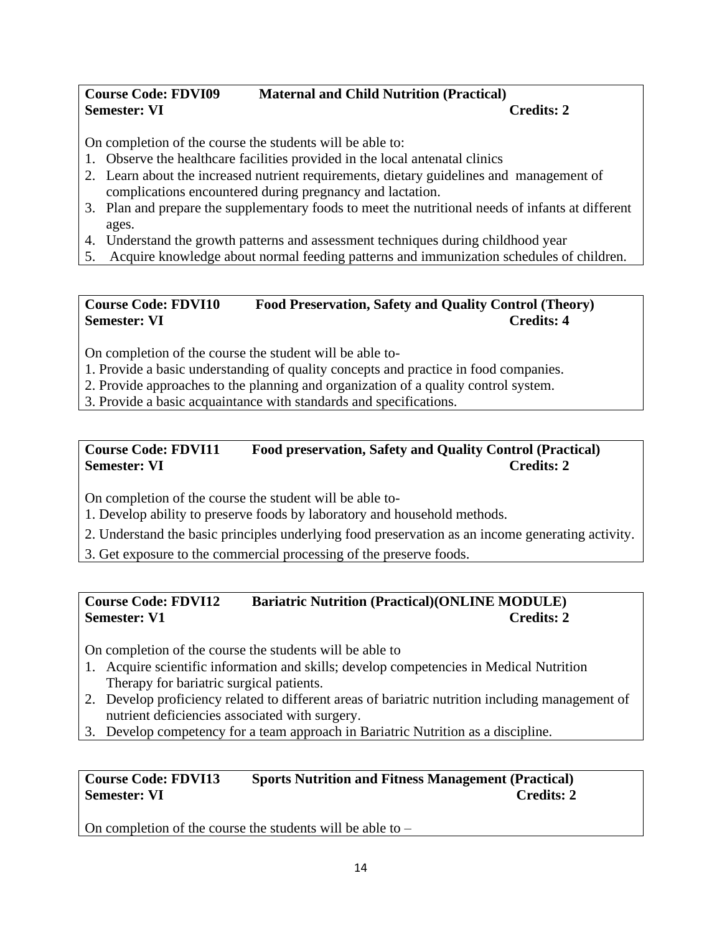# **Course Code: FDVI09 Maternal and Child Nutrition (Practical) Semester: VI** Credits: 2

On completion of the course the students will be able to:

- 1. Observe the healthcare facilities provided in the local antenatal clinics
- 2. Learn about the increased nutrient requirements, dietary guidelines and management of complications encountered during pregnancy and lactation.
- 3. Plan and prepare the supplementary foods to meet the nutritional needs of infants at different ages.
- 4. Understand the growth patterns and assessment techniques during childhood year
- 5. Acquire knowledge about normal feeding patterns and immunization schedules of children.

# **Course Code: FDVI10 Food Preservation, Safety and Quality Control (Theory) Semester: VI Credits: 4 Credits: 4**

On completion of the course the student will be able to-

- 1. Provide a basic understanding of quality concepts and practice in food companies.
- 2. Provide approaches to the planning and organization of a quality control system.
- 3. Provide a basic acquaintance with standards and specifications.

# **Course Code: FDVI11 Food preservation, Safety and Quality Control (Practical) Semester: VI** Credits: 2

On completion of the course the student will be able to-

1. Develop ability to preserve foods by laboratory and household methods.

- 2. Understand the basic principles underlying food preservation as an income generating activity.
- 3. Get exposure to the commercial processing of the preserve foods.

# **Course Code: FDVI12 Bariatric Nutrition (Practical)(ONLINE MODULE) Semester: V1** Credits: 2

On completion of the course the students will be able to

- 1. Acquire scientific information and skills; develop competencies in Medical Nutrition Therapy for bariatric surgical patients.
- 2. Develop proficiency related to different areas of bariatric nutrition including management of nutrient deficiencies associated with surgery.
- 3. Develop competency for a team approach in Bariatric Nutrition as a discipline.

# **Course Code: FDVI13 Sports Nutrition and Fitness Management (Practical) Semester: VI** Credits: 2

On completion of the course the students will be able to –